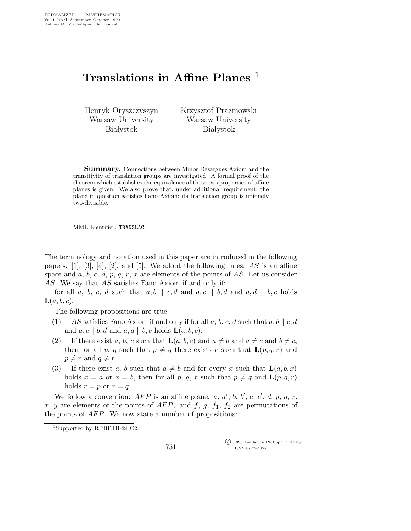## Translations in Affine Planes<sup>1</sup>

Henryk Oryszczyszyn Warsaw University **Białystok** 

Krzysztof Prażmowski Warsaw University **Białystok** 

Summary. Connections between Minor Desargues Axiom and the transitivity of translation groups are investigated. A formal proof of the theorem which establishes the equivalence of these two properties of affine planes is given. We also prove that, under additional requirement, the plane in question satisfies Fano Axiom; its translation group is uniquely two-divisible.

MML Identifier: TRANSLAC.

The terminology and notation used in this paper are introduced in the following papers:  $[1]$ ,  $[3]$ ,  $[4]$ ,  $[2]$ , and  $[5]$ . We adopt the following rules: AS is an affine space and a, b, c, d, p, q, r, x are elements of the points of AS. Let us consider AS. We say that AS satisfies Fano Axiom if and only if:

for all a, b, c, d such that  $a, b \parallel c, d$  and  $a, c \parallel b, d$  and  $a, d \parallel b, c$  holds  $\mathbf{L}(a,b,c).$ 

The following propositions are true:

- (1) AS satisfies Fano Axiom if and only if for all a, b, c, d such that a, b  $\parallel$  c, d and  $a, c \parallel b, d$  and  $a, d \parallel b, c$  holds  $\mathbf{L}(a, b, c)$ .
- (2) If there exist a, b, c such that  $\mathbf{L}(a,b,c)$  and  $a \neq b$  and  $a \neq c$  and  $b \neq c$ , then for all p, q such that  $p \neq q$  there exists r such that  $\mathbf{L}(p,q,r)$  and  $p \neq r$  and  $q \neq r$ .
- (3) If there exist a, b such that  $a \neq b$  and for every x such that  $\mathbf{L}(a,b,x)$ holds  $x = a$  or  $x = b$ , then for all p, q, r such that  $p \neq q$  and  $\mathbf{L}(p,q,r)$ holds  $r = p$  or  $r = q$ .

We follow a convention:  $AFP$  is an affine plane, a, a', b, b', c, c', d, p, q, r, x, y are elements of the points of AFP, and f, g,  $f_1$ ,  $f_2$  are permutations of the points of AFP. We now state a number of propositions:

 c 1990 Fondation Philippe le Hodey ISSN 0777–4028

<sup>1</sup>Supported by RPBP.III-24.C2.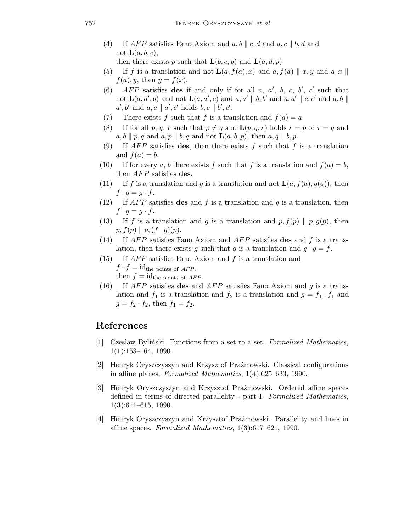(4) If AFP satisfies Fano Axiom and  $a, b \parallel c, d$  and  $a, c \parallel b, d$  and not  $\mathbf{L}(a,b,c)$ ,

then there exists p such that  $\mathbf{L}(b,c,p)$  and  $\mathbf{L}(a,d,p)$ .

- (5) If f is a translation and not  $\mathbf{L}(a, f(a), x)$  and  $a, f(a) \parallel x, y$  and  $a, x \parallel$  $f(a)$ , y, then  $y = f(x)$ .
- (6) AFP satisfies des if and only if for all  $a, a', b, c, b', c'$  such that not  $\mathbf{L}(a, a', b)$  and not  $\mathbf{L}(a, a', c)$  and  $a, a' \parallel b, b'$  and  $a, a' \parallel c, c'$  and  $a, b \parallel$  $a',b' \text{ and } a,c \parallel a',c' \text{ holds } b,c \parallel b',c'.$
- (7) There exists f such that f is a translation and  $f(a) = a$ .
- (8) If for all p, q, r such that  $p \neq q$  and  $\mathbf{L}(p,q,r)$  holds  $r = p$  or  $r = q$  and  $a, b \parallel p, q$  and  $a, p \parallel b, q$  and not  $\mathbf{L}(a, b, p)$ , then  $a, q \parallel b, p$ .
- (9) If  $AFP$  satisfies des, then there exists f such that f is a translation and  $f(a) = b$ .
- (10) If for every a, b there exists f such that f is a translation and  $f(a) = b$ , then *AFP* satisfies **des**.
- (11) If f is a translation and g is a translation and not  $\mathbf{L}(a, f(a), g(a))$ , then  $f \cdot g = g \cdot f$ .
- (12) If  $AFP$  satisfies des and f is a translation and g is a translation, then  $f \cdot g = g \cdot f$ .
- (13) If f is a translation and g is a translation and p,  $f(p) \parallel p, g(p)$ , then  $p, f(p) \parallel p, (f \cdot g)(p).$
- (14) If  $AFP$  satisfies Fano Axiom and  $AFP$  satisfies des and f is a translation, then there exists g such that g is a translation and  $g \cdot g = f$ .
- (15) If AFP satisfies Fano Axiom and f is a translation and  $f \cdot f = id_{\text{the points of } AFP},$ then  $f = id_{the \text{ points of } AFP}$ .
- (16) If  $AFP$  satisfies des and  $AFP$  satisfies Fano Axiom and g is a translation and  $f_1$  is a translation and  $f_2$  is a translation and  $g = f_1 \cdot f_1$  and  $g = f_2 \cdot f_2$ , then  $f_1 = f_2$ .

## References

- [1] Czesław Byliński. Functions from a set to a set. Formalized Mathematics,  $1(1):153-164, 1990.$
- [2] Henryk Oryszczyszyn and Krzysztof Prażmowski. Classical configurations in affine planes. Formalized Mathematics, 1(4):625–633, 1990.
- [3] Henryk Oryszczyszyn and Krzysztof Prażmowski. Ordered affine spaces defined in terms of directed parallelity - part I. Formalized Mathematics,  $1(3):611-615, 1990.$
- [4] Henryk Oryszczyszyn and Krzysztof Prażmowski. Parallelity and lines in affine spaces. Formalized Mathematics, 1(3):617–621, 1990.